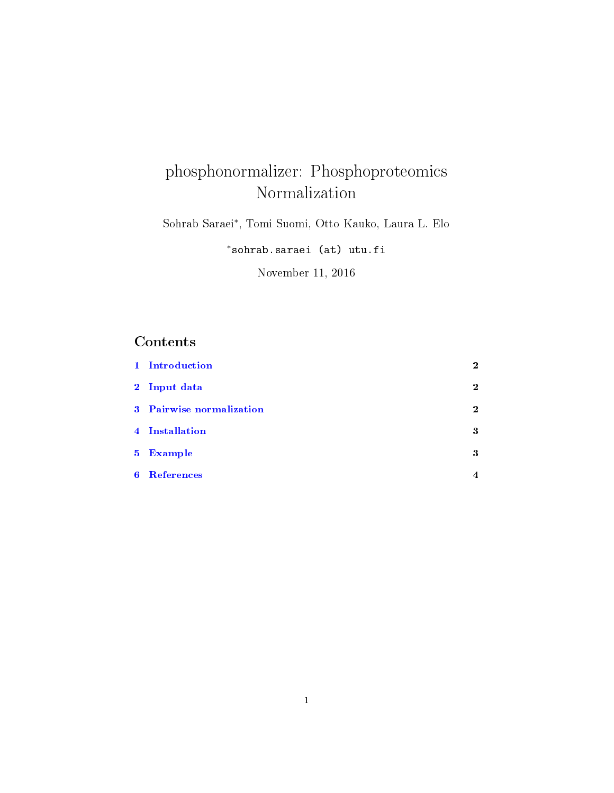# phosphonormalizer: Phosphoproteomics Normalization

Sohrab Saraei<sup>∗</sup> , Tomi Suomi, Otto Kauko, Laura L. Elo

<sup>∗</sup>sohrab.saraei (at) utu.fi

November 11, 2016

# Contents

|             | 1 Introduction           | $\mathbf 2$      |
|-------------|--------------------------|------------------|
|             | 2 Input data             | $\mathbf 2$      |
|             | 3 Pairwise normalization | $\mathbf 2$      |
|             | 4 Installation           | 3                |
|             | 5 Example                | 3                |
| $6^{\circ}$ | <b>References</b>        | $\boldsymbol{4}$ |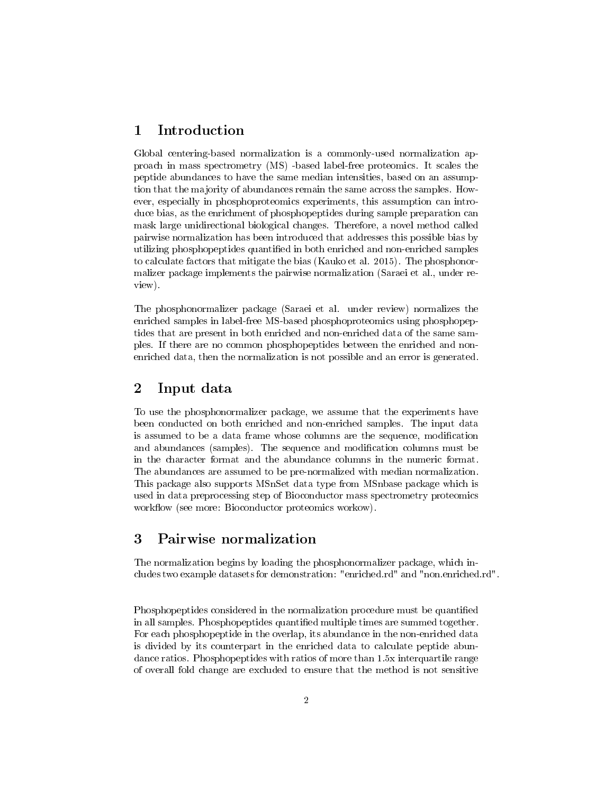## <span id="page-1-0"></span>1 Introduction

Global centering-based normalization is a commonly-used normalization approach in mass spectrometry (MS) -based label-free proteomics. It scales the peptide abundances to have the same median intensities, based on an assumption that the majority of abundances remain the same across the samples. However, especially in phosphoproteomics experiments, this assumption can introduce bias, as the enrichment of phosphopeptides during sample preparation can mask large unidirectional biological changes. Therefore, a novel method called pairwise normalization has been introduced that addresses this possible bias by utilizing phosphopeptides quantified in both enriched and non-enriched samples to calculate factors that mitigate the bias (Kauko et al. 2015). The phosphonormalizer package implements the pairwise normalization (Saraei et al., under review).

The phosphonormalizer package (Saraei et al. under review) normalizes the enriched samples in label-free MS-based phosphoproteomics using phosphopeptides that are present in both enriched and non-enriched data of the same samples. If there are no common phosphopeptides between the enriched and nonenriched data, then the normalization is not possible and an error is generated.

## <span id="page-1-1"></span>2 Input data

To use the phosphonormalizer package, we assume that the experiments have been conducted on both enriched and non-enriched samples. The input data is assumed to be a data frame whose columns are the sequence, modication and abundances (samples). The sequence and modification columns must be in the character format and the abundance columns in the numeric format. The abundances are assumed to be pre-normalized with median normalization. This package also supports MSnSet data type from MSnbase package which is used in data preprocessing step of Bioconductor mass spectrometry proteomics workflow (see more: Bioconductor proteomics workow).

# <span id="page-1-2"></span>3 Pairwise normalization

The normalization begins by loading the phosphonormalizer package, which includes two example datasets for demonstration: "enriched.rd" and "non.enriched.rd".

Phosphopeptides considered in the normalization procedure must be quantified in all samples. Phosphopeptides quantified multiple times are summed together. For each phosphopeptide in the overlap, its abundance in the non-enriched data is divided by its counterpart in the enriched data to calculate peptide abundance ratios. Phosphopeptides with ratios of more than 1.5x interquartile range of overall fold change are excluded to ensure that the method is not sensitive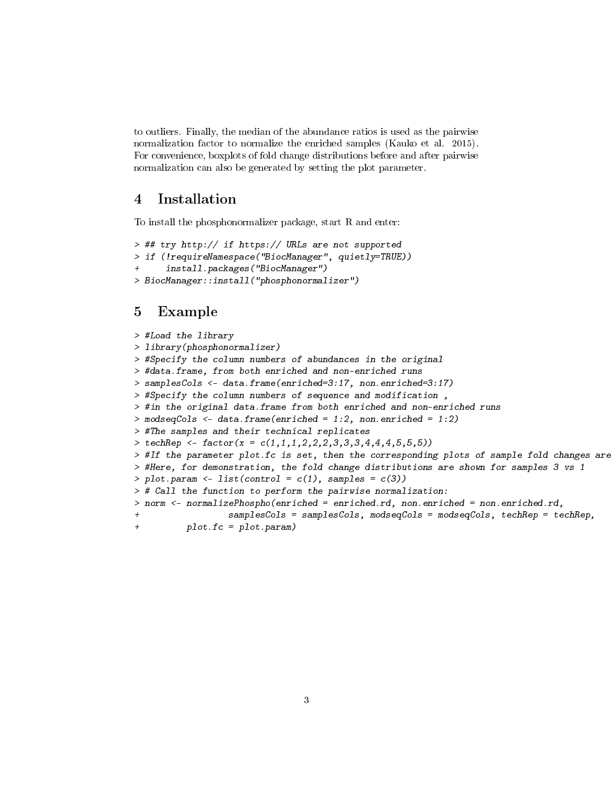to outliers. Finally, the median of the abundance ratios is used as the pairwise normalization factor to normalize the enriched samples (Kauko et al. 2015). For convenience, boxplots of fold change distributions before and after pairwise normalization can also be generated by setting the plot parameter.

### <span id="page-2-0"></span>4 Installation

To install the phosphonormalizer package, start R and enter:

```
> ## try http:// if https:// URLs are not supported
> if (!requireNamespace("BiocManager", quietly=TRUE))
      install.packages("BiocManager")
> BiocManager::install("phosphonormalizer")
```
### <span id="page-2-1"></span>5 Example

```
> #Load the library
> library(phosphonormalizer)
> #Specify the column numbers of abundances in the original
> #data.frame, from both enriched and non-enriched runs
> samplesCols <- data.frame(enriched=3:17, non.enriched=3:17)
> #Specify the column numbers of sequence and modification ,
> #in the original data.frame from both enriched and non-enriched runs
> modseqCols <- data.frame(enriched = 1:2, non.enriched = 1:2)
> #The samples and their technical replicates
> techRep <- factor(x = c(1,1,1,1,2,2,2,3,3,3,4,4,4,5,5,5))
> #If the parameter plot.fc is set, then the corresponding plots of sample fold changes are
> #Here, for demonstration, the fold change distributions are shown for samples 3 vs 1
> plot.param \leftarrow list(control = c(1), samples = c(3))> # Call the function to perform the pairwise normalization:
> norm <- normalizePhospho(enriched = enriched.rd, non.enriched = non.enriched.rd,
                  samplesCo1s = samplesCo1s, modesqCo1s = modesqCo1s, techRep = technRep,+ plot.fc = plot.param)
```